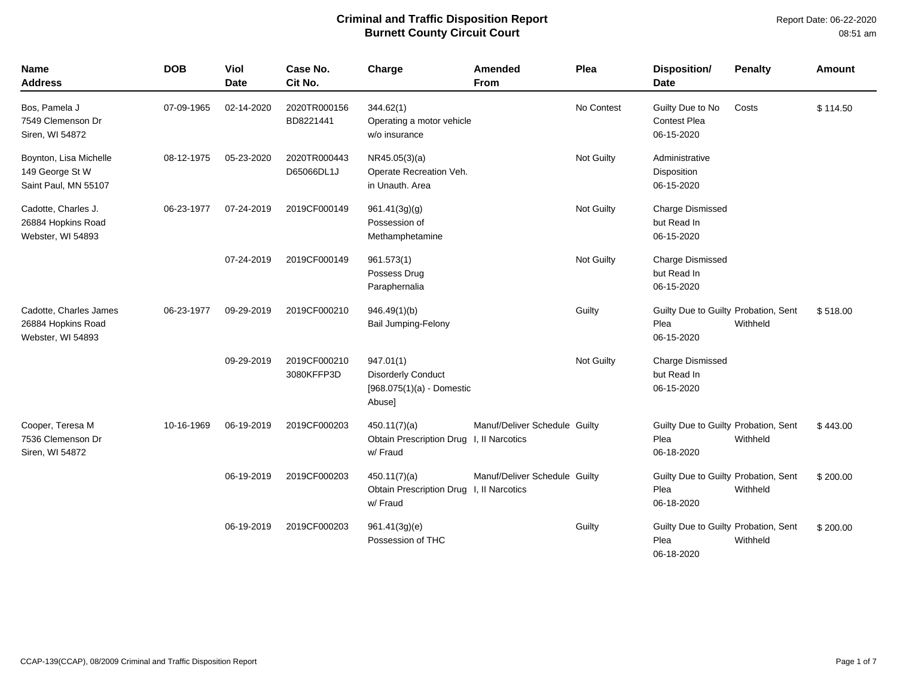| <b>Name</b><br><b>Address</b>                                     | <b>DOB</b> | Viol<br><b>Date</b> | Case No.<br>Cit No.        | Charge                                                                          | Amended<br><b>From</b>        | Plea       | Disposition/<br><b>Date</b>                                | <b>Penalty</b> | Amount   |
|-------------------------------------------------------------------|------------|---------------------|----------------------------|---------------------------------------------------------------------------------|-------------------------------|------------|------------------------------------------------------------|----------------|----------|
| Bos, Pamela J<br>7549 Clemenson Dr<br>Siren, WI 54872             | 07-09-1965 | 02-14-2020          | 2020TR000156<br>BD8221441  | 344.62(1)<br>Operating a motor vehicle<br>w/o insurance                         |                               | No Contest | Guilty Due to No<br><b>Contest Plea</b><br>06-15-2020      | Costs          | \$114.50 |
| Boynton, Lisa Michelle<br>149 George St W<br>Saint Paul, MN 55107 | 08-12-1975 | 05-23-2020          | 2020TR000443<br>D65066DL1J | NR45.05(3)(a)<br>Operate Recreation Veh.<br>in Unauth. Area                     |                               | Not Guilty | Administrative<br>Disposition<br>06-15-2020                |                |          |
| Cadotte, Charles J.<br>26884 Hopkins Road<br>Webster, WI 54893    | 06-23-1977 | 07-24-2019          | 2019CF000149               | 961.41(3g)(g)<br>Possession of<br>Methamphetamine                               |                               | Not Guilty | <b>Charge Dismissed</b><br>but Read In<br>06-15-2020       |                |          |
|                                                                   |            | 07-24-2019          | 2019CF000149               | 961.573(1)<br>Possess Drug<br>Paraphernalia                                     |                               | Not Guilty | Charge Dismissed<br>but Read In<br>06-15-2020              |                |          |
| Cadotte, Charles James<br>26884 Hopkins Road<br>Webster, WI 54893 | 06-23-1977 | 09-29-2019          | 2019CF000210               | 946.49(1)(b)<br><b>Bail Jumping-Felony</b>                                      |                               | Guilty     | Guilty Due to Guilty Probation, Sent<br>Plea<br>06-15-2020 | Withheld       | \$518.00 |
|                                                                   |            | 09-29-2019          | 2019CF000210<br>3080KFFP3D | 947.01(1)<br><b>Disorderly Conduct</b><br>$[968.075(1)(a) - Domestic$<br>Abuse] |                               | Not Guilty | <b>Charge Dismissed</b><br>but Read In<br>06-15-2020       |                |          |
| Cooper, Teresa M<br>7536 Clemenson Dr<br>Siren, WI 54872          | 10-16-1969 | 06-19-2019          | 2019CF000203               | 450.11(7)(a)<br>Obtain Prescription Drug I, II Narcotics<br>w/ Fraud            | Manuf/Deliver Schedule Guilty |            | Guilty Due to Guilty Probation, Sent<br>Plea<br>06-18-2020 | Withheld       | \$443.00 |
|                                                                   |            | 06-19-2019          | 2019CF000203               | 450.11(7)(a)<br>Obtain Prescription Drug I, Il Narcotics<br>w/ Fraud            | Manuf/Deliver Schedule Guilty |            | Guilty Due to Guilty Probation, Sent<br>Plea<br>06-18-2020 | Withheld       | \$200.00 |
|                                                                   |            | 06-19-2019          | 2019CF000203               | 961.41(3g)(e)<br>Possession of THC                                              |                               | Guilty     | Guilty Due to Guilty Probation, Sent<br>Plea<br>06-18-2020 | Withheld       | \$200.00 |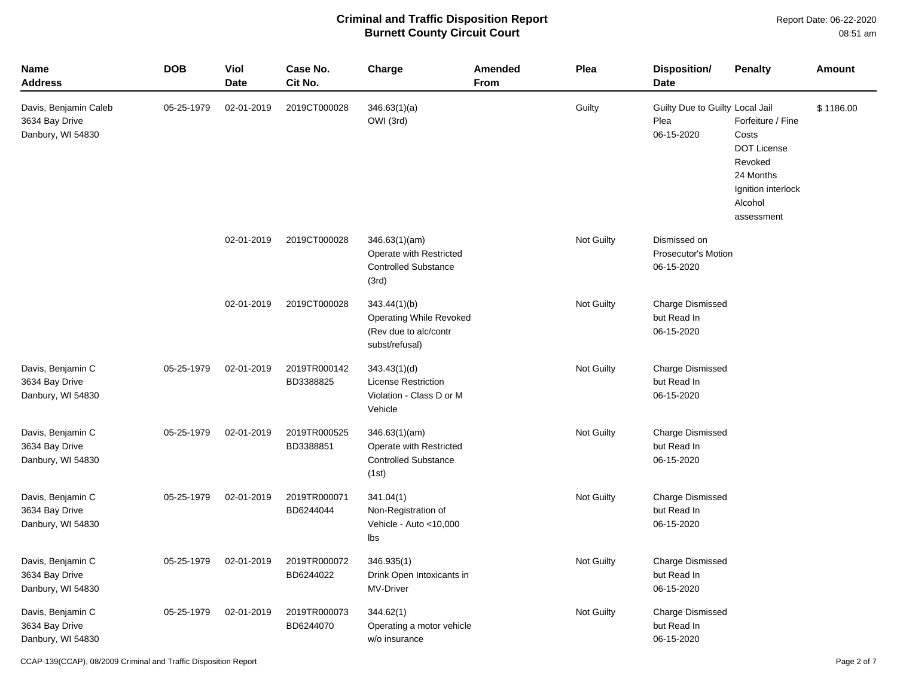Report Date: 06-22-2020 08:51 am

| <b>Name</b><br><b>Address</b>                                | <b>DOB</b> | <b>Viol</b><br><b>Date</b> | Case No.<br>Cit No.       | Charge                                                                                    | <b>Amended</b><br>From | Plea       | Disposition/<br><b>Date</b>                           | <b>Penalty</b>                                                                                                          | <b>Amount</b> |
|--------------------------------------------------------------|------------|----------------------------|---------------------------|-------------------------------------------------------------------------------------------|------------------------|------------|-------------------------------------------------------|-------------------------------------------------------------------------------------------------------------------------|---------------|
| Davis, Benjamin Caleb<br>3634 Bay Drive<br>Danbury, WI 54830 | 05-25-1979 | 02-01-2019                 | 2019CT000028              | 346.63(1)(a)<br>OWI (3rd)                                                                 |                        | Guilty     | Guilty Due to Guilty Local Jail<br>Plea<br>06-15-2020 | Forfeiture / Fine<br>Costs<br><b>DOT License</b><br>Revoked<br>24 Months<br>Ignition interlock<br>Alcohol<br>assessment | \$1186.00     |
|                                                              |            | 02-01-2019                 | 2019CT000028              | 346.63(1)(am)<br>Operate with Restricted<br><b>Controlled Substance</b><br>(3rd)          |                        | Not Guilty | Dismissed on<br>Prosecutor's Motion<br>06-15-2020     |                                                                                                                         |               |
|                                                              |            | 02-01-2019                 | 2019CT000028              | 343.44(1)(b)<br><b>Operating While Revoked</b><br>(Rev due to alc/contr<br>subst/refusal) |                        | Not Guilty | <b>Charge Dismissed</b><br>but Read In<br>06-15-2020  |                                                                                                                         |               |
| Davis, Benjamin C<br>3634 Bay Drive<br>Danbury, WI 54830     | 05-25-1979 | 02-01-2019                 | 2019TR000142<br>BD3388825 | 343.43(1)(d)<br><b>License Restriction</b><br>Violation - Class D or M<br>Vehicle         |                        | Not Guilty | Charge Dismissed<br>but Read In<br>06-15-2020         |                                                                                                                         |               |
| Davis, Benjamin C<br>3634 Bay Drive<br>Danbury, WI 54830     | 05-25-1979 | 02-01-2019                 | 2019TR000525<br>BD3388851 | 346.63(1)(am)<br>Operate with Restricted<br><b>Controlled Substance</b><br>(1st)          |                        | Not Guilty | Charge Dismissed<br>but Read In<br>06-15-2020         |                                                                                                                         |               |
| Davis, Benjamin C<br>3634 Bay Drive<br>Danbury, WI 54830     | 05-25-1979 | 02-01-2019                 | 2019TR000071<br>BD6244044 | 341.04(1)<br>Non-Registration of<br>Vehicle - Auto <10,000<br>Ibs                         |                        | Not Guilty | Charge Dismissed<br>but Read In<br>06-15-2020         |                                                                                                                         |               |
| Davis, Benjamin C<br>3634 Bay Drive<br>Danbury, WI 54830     | 05-25-1979 | 02-01-2019                 | 2019TR000072<br>BD6244022 | 346.935(1)<br>Drink Open Intoxicants in<br>MV-Driver                                      |                        | Not Guilty | Charge Dismissed<br>but Read In<br>06-15-2020         |                                                                                                                         |               |
| Davis, Benjamin C<br>3634 Bay Drive<br>Danbury, WI 54830     | 05-25-1979 | 02-01-2019                 | 2019TR000073<br>BD6244070 | 344.62(1)<br>Operating a motor vehicle<br>w/o insurance                                   |                        | Not Guilty | Charge Dismissed<br>but Read In<br>06-15-2020         |                                                                                                                         |               |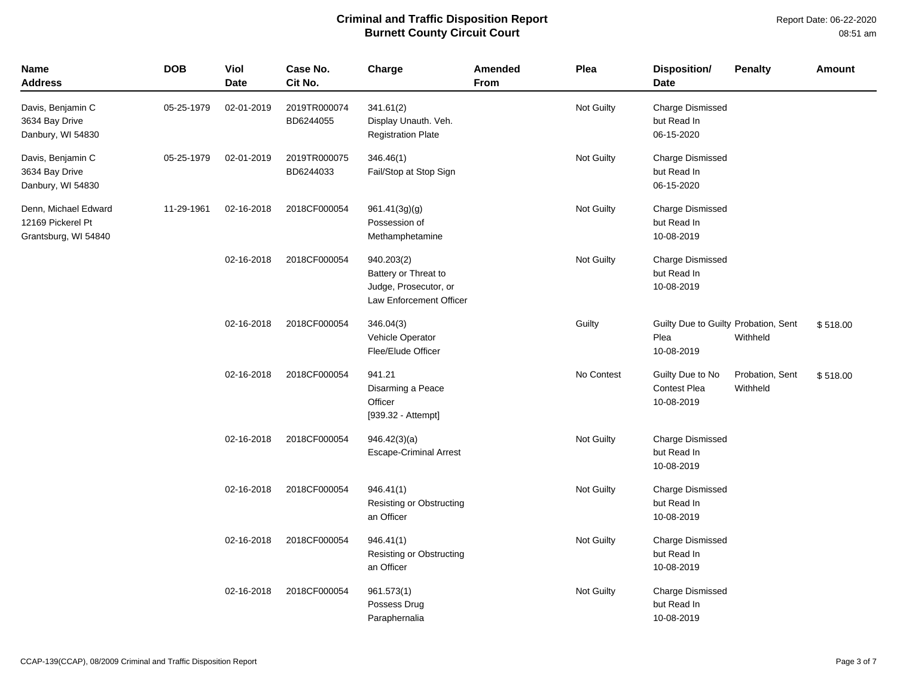| Name<br><b>Address</b>                                            | <b>DOB</b> | Viol<br><b>Date</b> | Case No.<br>Cit No.       | Charge                                                                                 | <b>Amended</b><br>From | Plea       | <b>Disposition/</b><br><b>Date</b>                         | <b>Penalty</b>              | <b>Amount</b> |
|-------------------------------------------------------------------|------------|---------------------|---------------------------|----------------------------------------------------------------------------------------|------------------------|------------|------------------------------------------------------------|-----------------------------|---------------|
| Davis, Benjamin C<br>3634 Bay Drive<br>Danbury, WI 54830          | 05-25-1979 | 02-01-2019          | 2019TR000074<br>BD6244055 | 341.61(2)<br>Display Unauth. Veh.<br><b>Registration Plate</b>                         |                        | Not Guilty | <b>Charge Dismissed</b><br>but Read In<br>06-15-2020       |                             |               |
| Davis, Benjamin C<br>3634 Bay Drive<br>Danbury, WI 54830          | 05-25-1979 | 02-01-2019          | 2019TR000075<br>BD6244033 | 346.46(1)<br>Fail/Stop at Stop Sign                                                    |                        | Not Guilty | <b>Charge Dismissed</b><br>but Read In<br>06-15-2020       |                             |               |
| Denn, Michael Edward<br>12169 Pickerel Pt<br>Grantsburg, WI 54840 | 11-29-1961 | 02-16-2018          | 2018CF000054              | 961.41(3g)(g)<br>Possession of<br>Methamphetamine                                      |                        | Not Guilty | Charge Dismissed<br>but Read In<br>10-08-2019              |                             |               |
|                                                                   |            | 02-16-2018          | 2018CF000054              | 940.203(2)<br>Battery or Threat to<br>Judge, Prosecutor, or<br>Law Enforcement Officer |                        | Not Guilty | <b>Charge Dismissed</b><br>but Read In<br>10-08-2019       |                             |               |
|                                                                   |            | 02-16-2018          | 2018CF000054              | 346.04(3)<br>Vehicle Operator<br>Flee/Elude Officer                                    |                        | Guilty     | Guilty Due to Guilty Probation, Sent<br>Plea<br>10-08-2019 | Withheld                    | \$518.00      |
|                                                                   |            | 02-16-2018          | 2018CF000054              | 941.21<br>Disarming a Peace<br>Officer<br>[939.32 - Attempt]                           |                        | No Contest | Guilty Due to No<br>Contest Plea<br>10-08-2019             | Probation, Sent<br>Withheld | \$518.00      |
|                                                                   |            | 02-16-2018          | 2018CF000054              | 946.42(3)(a)<br><b>Escape-Criminal Arrest</b>                                          |                        | Not Guilty | <b>Charge Dismissed</b><br>but Read In<br>10-08-2019       |                             |               |
|                                                                   |            | 02-16-2018          | 2018CF000054              | 946.41(1)<br>Resisting or Obstructing<br>an Officer                                    |                        | Not Guilty | <b>Charge Dismissed</b><br>but Read In<br>10-08-2019       |                             |               |
|                                                                   |            | 02-16-2018          | 2018CF000054              | 946.41(1)<br>Resisting or Obstructing<br>an Officer                                    |                        | Not Guilty | <b>Charge Dismissed</b><br>but Read In<br>10-08-2019       |                             |               |
|                                                                   |            | 02-16-2018          | 2018CF000054              | 961.573(1)<br>Possess Drug<br>Paraphernalia                                            |                        | Not Guilty | <b>Charge Dismissed</b><br>but Read In<br>10-08-2019       |                             |               |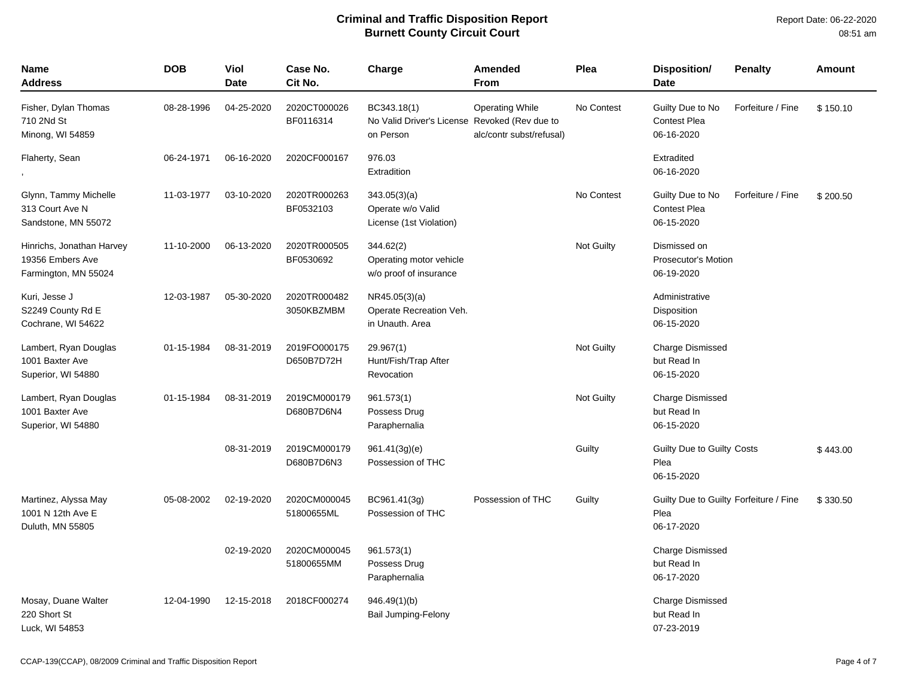| <b>Name</b><br>Address                                                | <b>DOB</b> | Viol<br><b>Date</b> | Case No.<br>Cit No.        | Charge                                                                    | Amended<br><b>From</b>                             | Plea       | Disposition/<br><b>Date</b>                                  | <b>Penalty</b>    | Amount   |
|-----------------------------------------------------------------------|------------|---------------------|----------------------------|---------------------------------------------------------------------------|----------------------------------------------------|------------|--------------------------------------------------------------|-------------------|----------|
| Fisher, Dylan Thomas<br>710 2Nd St<br>Minong, WI 54859                | 08-28-1996 | 04-25-2020          | 2020CT000026<br>BF0116314  | BC343.18(1)<br>No Valid Driver's License Revoked (Rev due to<br>on Person | <b>Operating While</b><br>alc/contr subst/refusal) | No Contest | Guilty Due to No<br><b>Contest Plea</b><br>06-16-2020        | Forfeiture / Fine | \$150.10 |
| Flaherty, Sean                                                        | 06-24-1971 | 06-16-2020          | 2020CF000167               | 976.03<br>Extradition                                                     |                                                    |            | Extradited<br>06-16-2020                                     |                   |          |
| Glynn, Tammy Michelle<br>313 Court Ave N<br>Sandstone, MN 55072       | 11-03-1977 | 03-10-2020          | 2020TR000263<br>BF0532103  | 343.05(3)(a)<br>Operate w/o Valid<br>License (1st Violation)              |                                                    | No Contest | Guilty Due to No<br><b>Contest Plea</b><br>06-15-2020        | Forfeiture / Fine | \$200.50 |
| Hinrichs, Jonathan Harvey<br>19356 Embers Ave<br>Farmington, MN 55024 | 11-10-2000 | 06-13-2020          | 2020TR000505<br>BF0530692  | 344.62(2)<br>Operating motor vehicle<br>w/o proof of insurance            |                                                    | Not Guilty | Dismissed on<br><b>Prosecutor's Motion</b><br>06-19-2020     |                   |          |
| Kuri, Jesse J<br>S2249 County Rd E<br>Cochrane, WI 54622              | 12-03-1987 | 05-30-2020          | 2020TR000482<br>3050KBZMBM | NR45.05(3)(a)<br>Operate Recreation Veh.<br>in Unauth. Area               |                                                    |            | Administrative<br>Disposition<br>06-15-2020                  |                   |          |
| Lambert, Ryan Douglas<br>1001 Baxter Ave<br>Superior, WI 54880        | 01-15-1984 | 08-31-2019          | 2019FO000175<br>D650B7D72H | 29.967(1)<br>Hunt/Fish/Trap After<br>Revocation                           |                                                    | Not Guilty | <b>Charge Dismissed</b><br>but Read In<br>06-15-2020         |                   |          |
| Lambert, Ryan Douglas<br>1001 Baxter Ave<br>Superior, WI 54880        | 01-15-1984 | 08-31-2019          | 2019CM000179<br>D680B7D6N4 | 961.573(1)<br>Possess Drug<br>Paraphernalia                               |                                                    | Not Guilty | Charge Dismissed<br>but Read In<br>06-15-2020                |                   |          |
|                                                                       |            | 08-31-2019          | 2019CM000179<br>D680B7D6N3 | 961.41(3g)(e)<br>Possession of THC                                        |                                                    | Guilty     | Guilty Due to Guilty Costs<br>Plea<br>06-15-2020             |                   | \$443.00 |
| Martinez, Alyssa May<br>1001 N 12th Ave E<br>Duluth, MN 55805         | 05-08-2002 | 02-19-2020          | 2020CM000045<br>51800655ML | BC961.41(3g)<br>Possession of THC                                         | Possession of THC                                  | Guilty     | Guilty Due to Guilty Forfeiture / Fine<br>Plea<br>06-17-2020 |                   | \$330.50 |
|                                                                       |            | 02-19-2020          | 2020CM000045<br>51800655MM | 961.573(1)<br>Possess Drug<br>Paraphernalia                               |                                                    |            | Charge Dismissed<br>but Read In<br>06-17-2020                |                   |          |
| Mosay, Duane Walter<br>220 Short St<br>Luck, WI 54853                 | 12-04-1990 | 12-15-2018          | 2018CF000274               | 946.49(1)(b)<br>Bail Jumping-Felony                                       |                                                    |            | <b>Charge Dismissed</b><br>but Read In<br>07-23-2019         |                   |          |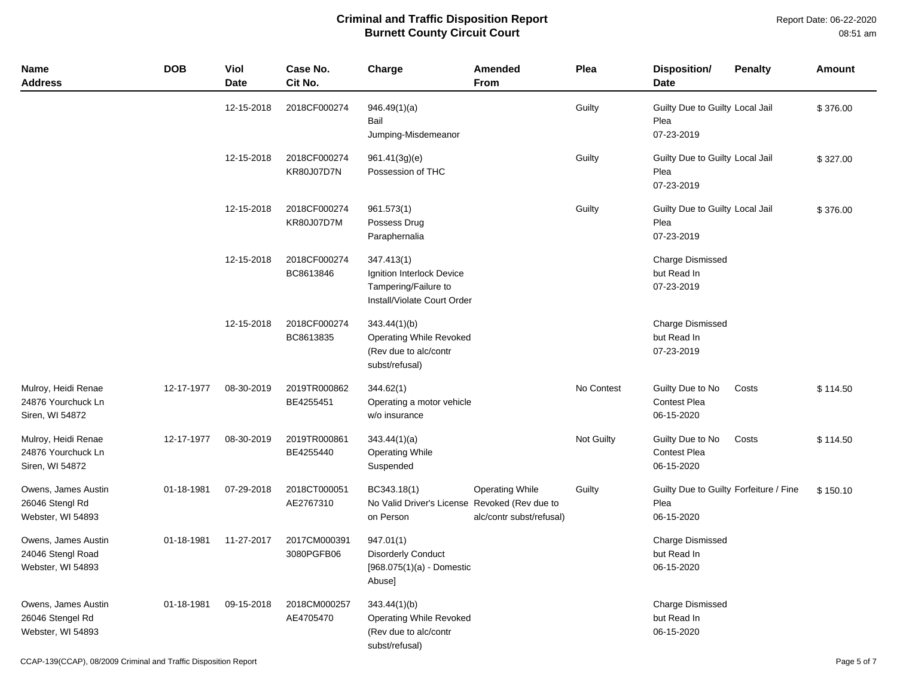| <b>Name</b><br><b>Address</b>                                 | <b>DOB</b> | <b>Viol</b><br><b>Date</b> | Case No.<br>Cit No.               | Charge                                                                                         | Amended<br><b>From</b>                             | Plea              | <b>Disposition/</b><br><b>Date</b>                           | <b>Penalty</b> | Amount   |
|---------------------------------------------------------------|------------|----------------------------|-----------------------------------|------------------------------------------------------------------------------------------------|----------------------------------------------------|-------------------|--------------------------------------------------------------|----------------|----------|
|                                                               |            | 12-15-2018                 | 2018CF000274                      | 946.49(1)(a)<br>Bail<br>Jumping-Misdemeanor                                                    |                                                    | Guilty            | Guilty Due to Guilty Local Jail<br>Plea<br>07-23-2019        |                | \$376.00 |
|                                                               |            | 12-15-2018                 | 2018CF000274<br><b>KR80J07D7N</b> | 961.41(3g)(e)<br>Possession of THC                                                             |                                                    | Guilty            | Guilty Due to Guilty Local Jail<br>Plea<br>07-23-2019        |                | \$327.00 |
|                                                               |            | 12-15-2018                 | 2018CF000274<br>KR80J07D7M        | 961.573(1)<br>Possess Drug<br>Paraphernalia                                                    |                                                    | Guilty            | Guilty Due to Guilty Local Jail<br>Plea<br>07-23-2019        |                | \$376.00 |
|                                                               |            | 12-15-2018                 | 2018CF000274<br>BC8613846         | 347.413(1)<br>Ignition Interlock Device<br>Tampering/Failure to<br>Install/Violate Court Order |                                                    |                   | <b>Charge Dismissed</b><br>but Read In<br>07-23-2019         |                |          |
|                                                               |            | 12-15-2018                 | 2018CF000274<br>BC8613835         | 343.44(1)(b)<br>Operating While Revoked<br>(Rev due to alc/contr<br>subst/refusal)             |                                                    |                   | <b>Charge Dismissed</b><br>but Read In<br>07-23-2019         |                |          |
| Mulroy, Heidi Renae<br>24876 Yourchuck Ln<br>Siren, WI 54872  | 12-17-1977 | 08-30-2019                 | 2019TR000862<br>BE4255451         | 344.62(1)<br>Operating a motor vehicle<br>w/o insurance                                        |                                                    | No Contest        | Guilty Due to No<br><b>Contest Plea</b><br>06-15-2020        | Costs          | \$114.50 |
| Mulroy, Heidi Renae<br>24876 Yourchuck Ln<br>Siren, WI 54872  | 12-17-1977 | 08-30-2019                 | 2019TR000861<br>BE4255440         | 343.44(1)(a)<br><b>Operating While</b><br>Suspended                                            |                                                    | <b>Not Guilty</b> | Guilty Due to No<br><b>Contest Plea</b><br>06-15-2020        | Costs          | \$114.50 |
| Owens, James Austin<br>26046 Stengl Rd<br>Webster, WI 54893   | 01-18-1981 | 07-29-2018                 | 2018CT000051<br>AE2767310         | BC343.18(1)<br>No Valid Driver's License Revoked (Rev due to<br>on Person                      | <b>Operating While</b><br>alc/contr subst/refusal) | Guilty            | Guilty Due to Guilty Forfeiture / Fine<br>Plea<br>06-15-2020 |                | \$150.10 |
| Owens, James Austin<br>24046 Stengl Road<br>Webster, WI 54893 | 01-18-1981 | 11-27-2017                 | 2017CM000391<br>3080PGFB06        | 947.01(1)<br><b>Disorderly Conduct</b><br>$[968.075(1)(a) -$ Domestic<br>Abuse]                |                                                    |                   | <b>Charge Dismissed</b><br>but Read In<br>06-15-2020         |                |          |
| Owens, James Austin<br>26046 Stengel Rd<br>Webster, WI 54893  | 01-18-1981 | 09-15-2018                 | 2018CM000257<br>AE4705470         | 343.44(1)(b)<br>Operating While Revoked<br>(Rev due to alc/contr<br>subst/refusal)             |                                                    |                   | <b>Charge Dismissed</b><br>but Read In<br>06-15-2020         |                |          |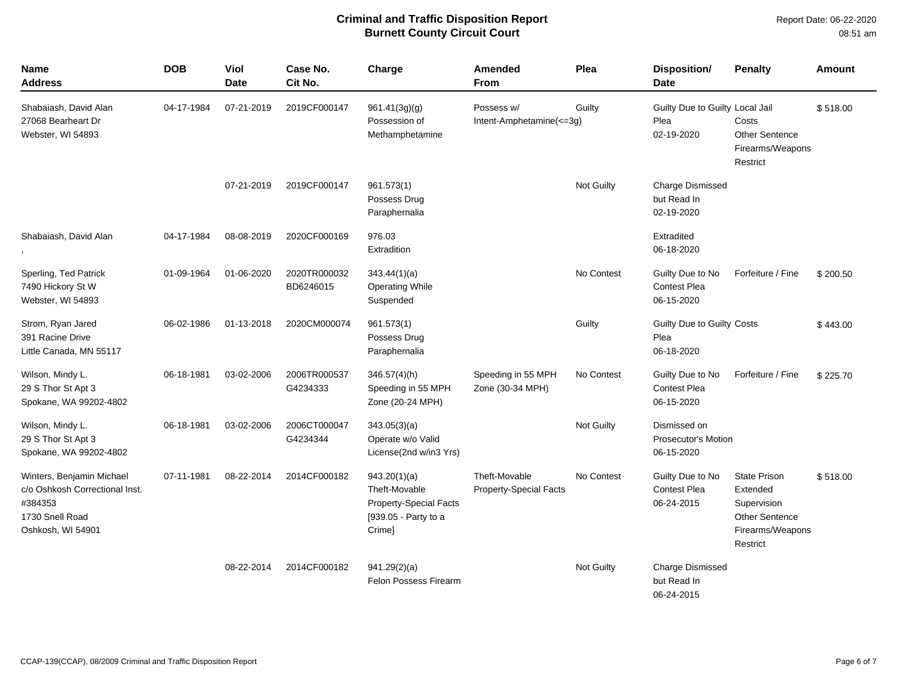| <b>Name</b><br><b>Address</b>                                                                                  | <b>DOB</b> | <b>Viol</b><br><b>Date</b> | Case No.<br>Cit No.       | Charge                                                                                           | <b>Amended</b><br><b>From</b>                  | Plea              | Disposition/<br><b>Date</b>                              | <b>Penalty</b>                                                                                          | <b>Amount</b> |
|----------------------------------------------------------------------------------------------------------------|------------|----------------------------|---------------------------|--------------------------------------------------------------------------------------------------|------------------------------------------------|-------------------|----------------------------------------------------------|---------------------------------------------------------------------------------------------------------|---------------|
| Shabaiash, David Alan<br>27068 Bearheart Dr<br>Webster, WI 54893                                               | 04-17-1984 | 07-21-2019                 | 2019CF000147              | 961.41(3g)(q)<br>Possession of<br>Methamphetamine                                                | Possess w/<br>Intent-Amphetamine(<=3g)         | Guilty            | Guilty Due to Guilty Local Jail<br>Plea<br>02-19-2020    | Costs<br><b>Other Sentence</b><br>Firearms/Weapons<br>Restrict                                          | \$518.00      |
|                                                                                                                |            | 07-21-2019                 | 2019CF000147              | 961.573(1)<br>Possess Drug<br>Paraphernalia                                                      |                                                | <b>Not Guilty</b> | <b>Charge Dismissed</b><br>but Read In<br>02-19-2020     |                                                                                                         |               |
| Shabaiash, David Alan                                                                                          | 04-17-1984 | 08-08-2019                 | 2020CF000169              | 976.03<br>Extradition                                                                            |                                                |                   | Extradited<br>06-18-2020                                 |                                                                                                         |               |
| Sperling, Ted Patrick<br>7490 Hickory St W<br>Webster, WI 54893                                                | 01-09-1964 | 01-06-2020                 | 2020TR000032<br>BD6246015 | 343.44(1)(a)<br><b>Operating While</b><br>Suspended                                              |                                                | No Contest        | Guilty Due to No<br><b>Contest Plea</b><br>06-15-2020    | Forfeiture / Fine                                                                                       | \$200.50      |
| Strom, Ryan Jared<br>391 Racine Drive<br>Little Canada, MN 55117                                               | 06-02-1986 | 01-13-2018                 | 2020CM000074              | 961.573(1)<br>Possess Drug<br>Paraphernalia                                                      |                                                | Guilty            | Guilty Due to Guilty Costs<br>Plea<br>06-18-2020         |                                                                                                         | \$443.00      |
| Wilson, Mindy L.<br>29 S Thor St Apt 3<br>Spokane, WA 99202-4802                                               | 06-18-1981 | 03-02-2006                 | 2006TR000537<br>G4234333  | 346.57(4)(h)<br>Speeding in 55 MPH<br>Zone (20-24 MPH)                                           | Speeding in 55 MPH<br>Zone (30-34 MPH)         | No Contest        | Guilty Due to No<br><b>Contest Plea</b><br>06-15-2020    | Forfeiture / Fine                                                                                       | \$225.70      |
| Wilson, Mindy L.<br>29 S Thor St Apt 3<br>Spokane, WA 99202-4802                                               | 06-18-1981 | 03-02-2006                 | 2006CT000047<br>G4234344  | 343.05(3)(a)<br>Operate w/o Valid<br>License(2nd w/in3 Yrs)                                      |                                                | Not Guilty        | Dismissed on<br><b>Prosecutor's Motion</b><br>06-15-2020 |                                                                                                         |               |
| Winters, Benjamin Michael<br>c/o Oshkosh Correctional Inst.<br>#384353<br>1730 Snell Road<br>Oshkosh, WI 54901 | 07-11-1981 | 08-22-2014                 | 2014CF000182              | 943.20(1)(a)<br>Theft-Movable<br><b>Property-Special Facts</b><br>[939.05 - Party to a<br>Crime] | Theft-Movable<br><b>Property-Special Facts</b> | No Contest        | Guilty Due to No<br><b>Contest Plea</b><br>06-24-2015    | <b>State Prison</b><br>Extended<br>Supervision<br><b>Other Sentence</b><br>Firearms/Weapons<br>Restrict | \$518.00      |
|                                                                                                                |            | 08-22-2014                 | 2014CF000182              | 941.29(2)(a)<br><b>Felon Possess Firearm</b>                                                     |                                                | <b>Not Guilty</b> | <b>Charge Dismissed</b><br>but Read In<br>06-24-2015     |                                                                                                         |               |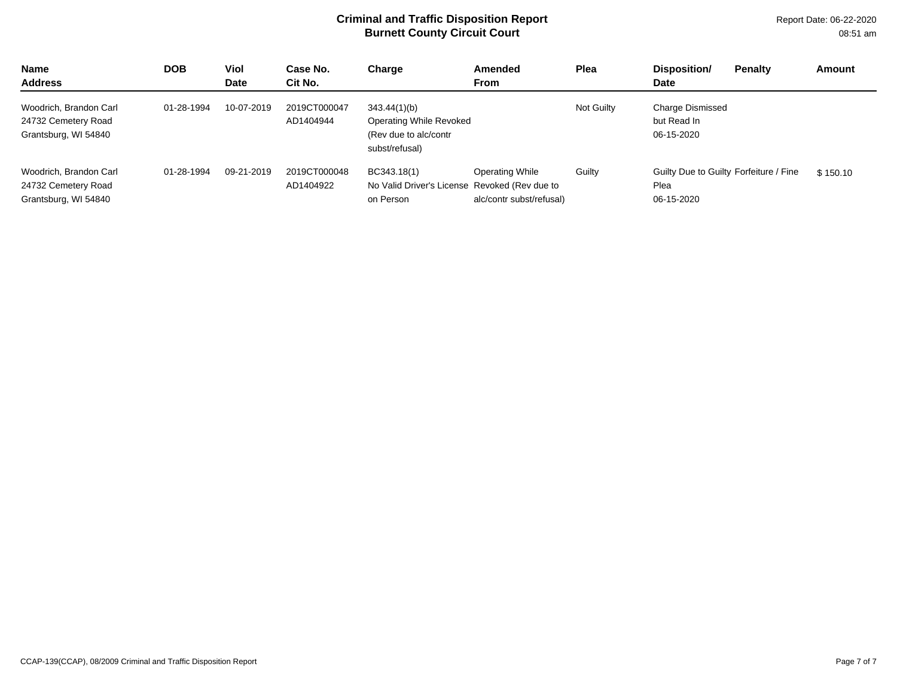Report Date: 06-22-2020 08:51 am

| <b>Name</b><br><b>Address</b>                                         | <b>DOB</b> | Viol<br><b>Date</b> | Case No.<br>Cit No.       | Charge                                                                             | Amended<br><b>From</b>                             | Plea       | Disposition/<br><b>Penalty</b><br><b>Date</b>                | Amount   |
|-----------------------------------------------------------------------|------------|---------------------|---------------------------|------------------------------------------------------------------------------------|----------------------------------------------------|------------|--------------------------------------------------------------|----------|
| Woodrich, Brandon Carl<br>24732 Cemetery Road<br>Grantsburg, WI 54840 | 01-28-1994 | 10-07-2019          | 2019CT000047<br>AD1404944 | 343.44(1)(b)<br>Operating While Revoked<br>(Rev due to alc/contr<br>subst/refusal) |                                                    | Not Guilty | <b>Charge Dismissed</b><br>but Read In<br>06-15-2020         |          |
| Woodrich, Brandon Carl<br>24732 Cemetery Road<br>Grantsburg, WI 54840 | 01-28-1994 | 09-21-2019          | 2019CT000048<br>AD1404922 | BC343.18(1)<br>No Valid Driver's License Revoked (Rev due to<br>on Person          | <b>Operating While</b><br>alc/contr subst/refusal) | Guilty     | Guilty Due to Guilty Forfeiture / Fine<br>Plea<br>06-15-2020 | \$150.10 |